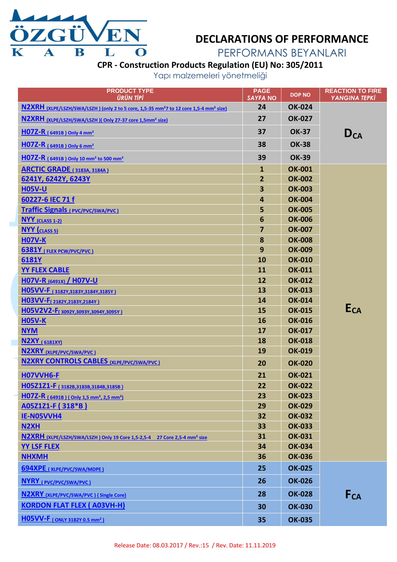

### **DECLARATIONS OF PERFORMANCE**

PERFORMANS BEYANLARI

<span id="page-0-1"></span>**CPR - Construction Products Regulation (EU) No: 305/2011**

Yapı malzemeleri yönetmeliği

<span id="page-0-0"></span>

| <b>PRODUCT TYPE</b><br><b>ÜRÜN TİPİ</b>                                                                       | <b>PAGE</b><br><b>SAYFA NO</b> | <b>DOP NO</b> | <b>REACTION TO FIRE</b><br><b>YANGINA TEPKİ</b> |
|---------------------------------------------------------------------------------------------------------------|--------------------------------|---------------|-------------------------------------------------|
| N2XRH (XLPE/LSZH/SWA/LSZH) (only 2 to 5 core, 1,5-35 mm <sup>2</sup> 7 to 12 core 1,5-4 mm <sup>2</sup> size) | 24                             | <b>OK-024</b> |                                                 |
| N2XRH (XLPE/LSZH/SWA/LSZH)(Only 27-37 core 1,5mm <sup>2</sup> size)                                           | 27                             | <b>OK-027</b> |                                                 |
| $H07Z-R$ (6491B) Only 4 mm <sup>2</sup>                                                                       | 37                             | <b>OK-37</b>  | $D_{CA}$                                        |
| $H07Z-R$ (6491B) Only 6 mm <sup>2</sup>                                                                       | 38                             | <b>OK-38</b>  |                                                 |
| $H07Z-R$ (6491B) Only 10 mm <sup>2</sup> to 500 mm <sup>2</sup>                                               | 39                             | <b>OK-39</b>  |                                                 |
| <b>ARCTIC GRADE</b> (3183A, 3184A)                                                                            | $\mathbf{1}$                   | <b>OK-001</b> |                                                 |
| 6241Y, 6242Y, 6243Y                                                                                           | 2 <sup>2</sup>                 | <b>OK-002</b> |                                                 |
| <b>H05V-U</b>                                                                                                 | 3                              | <b>OK-003</b> |                                                 |
| 60227-6 IEC 71 f                                                                                              | 4                              | <b>OK-004</b> |                                                 |
| <b>Traffic Signals</b> (PVC/PVC/SWA/PVC)                                                                      | 5                              | <b>OK-005</b> |                                                 |
| <b>NYY</b> (CLASS 1-2)                                                                                        | 6                              | <b>OK-006</b> |                                                 |
| <b>NYY</b> (CLASS 5)                                                                                          | 7                              | <b>OK-007</b> |                                                 |
| <b>H07V-K</b>                                                                                                 | 8                              | <b>OK-008</b> |                                                 |
| <b>6381Y</b> (FLEX PCW/PVC/PVC)                                                                               | 9                              | <b>OK-009</b> |                                                 |
| 6181Y                                                                                                         | 10                             | <b>OK-010</b> |                                                 |
| <b>YY FLEX CABLE</b>                                                                                          | 11                             | <b>OK-011</b> |                                                 |
| H07V-R (6491X) / H07V-U                                                                                       | 12                             | <b>OK-012</b> |                                                 |
| H05VV-F (3182Y, 3183Y, 3184Y, 3185Y)                                                                          | 13                             | <b>OK-013</b> |                                                 |
| H03VV-F <sub>(2182Y,2183Y,2184Y)</sub>                                                                        | 14                             | <b>OK-014</b> |                                                 |
| H05V2V2-F(3092Y,3093Y,3094Y,3095Y)                                                                            | 15                             | <b>OK-015</b> | E <sub>CA</sub>                                 |
| <b>H05V-K</b>                                                                                                 | 16                             | <b>OK-016</b> |                                                 |
| <b>NYM</b>                                                                                                    | 17                             | <b>OK-017</b> |                                                 |
| <b>N2XY</b> (6181XY)                                                                                          | 18                             | <b>OK-018</b> |                                                 |
| N2XRY (XLPE/PVC/SWA/PVC)                                                                                      | 19                             | <b>OK-019</b> |                                                 |
| <b>N2XRY CONTROLS CABLES (XLPE/PVC/SWA/PVC)</b>                                                               | 20                             | <b>OK-020</b> |                                                 |
| <b>H07VVH6-F</b>                                                                                              | 21                             | <b>OK-021</b> |                                                 |
| НО5Z1Z1-F (3182B, 3183B, 3184B, 3185B)                                                                        | 22                             | <b>OK-022</b> |                                                 |
| H07Z-R (6491B) (Only 1,5 mm <sup>2</sup> , 2,5 mm <sup>2</sup> )                                              | 23                             | <b>OK-023</b> |                                                 |
| <b>A05Z1Z1-F (318*B)</b>                                                                                      | 29                             | <b>OK-029</b> |                                                 |
| IE-N05VVH4                                                                                                    | 32                             | <b>OK-032</b> |                                                 |
| N <sub>2</sub> XH                                                                                             | 33                             | <b>OK-033</b> |                                                 |
| N2XRH (XLPE/LSZH/SWA/LSZH) Only 19 Core 1,5-2,5-4 27 Core 2,5-4 mm <sup>2</sup> size                          | 31                             | <b>OK-031</b> |                                                 |
| <b>YY LSF FLEX</b>                                                                                            | 34                             | <b>OK-034</b> |                                                 |
| <b>NHXMH</b>                                                                                                  | 36                             | <b>OK-036</b> |                                                 |
| 694XPE (XLPE/PVC/SWA/MDPE)                                                                                    | 25                             | <b>OK-025</b> |                                                 |
| <b>NYRY</b> (PVC/PVC/SWA/PVC)                                                                                 | 26                             | <b>OK-026</b> |                                                 |
| <b>N2XRY</b> (XLPE/PVC/SWA/PVC) (Single Core)                                                                 | 28                             | <b>OK-028</b> | $F_{CA}$                                        |
| <b>KORDON FLAT FLEX ( A03VH-H)</b>                                                                            | 30                             | <b>OK-030</b> |                                                 |
| <b>H05VV-F</b> (ONLY 3182Y 0.5 mm <sup>2</sup> )                                                              | 35                             | <b>OK-035</b> |                                                 |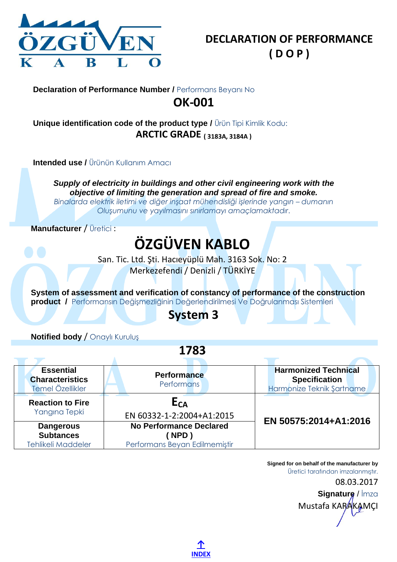

#### <span id="page-1-0"></span>**Unique identification code of the product type /** Ürün Tipi Kimlik Kodu: **ARCTIC GRADE ( 3183A, 3184A )**

**Intended use /** Ürünün Kullanım Amacı

*Supply of electricity in buildings and other civil engineering work with the objective of limiting the generation and spread of fire and smoke. Binalarda elektrik iletimi ve diğer inşaat mühendisliği işlerinde yangın – dumanın Oluşumunu ve yayılmasını sınırlamayı amaçlamaktadır*.

**Manufacturer** / Üretici :

# **ÖZGÜVEN KABLO**

San. Tic. Ltd. Şti. Hacıeyüplü Mah. 3163 Sok. No: 2 Merkezefendi / Denizli / TÜRKİYE

**System of assessment and verification of constancy of performance of the construction product /** Performansın Değişmezliğinin Değerlendirilmesi Ve Doğrulanması Sistemleri

## **System 3**

**Notified body** / Onaylı Kuruluş

Α

**1783**

| <b>Essential</b><br><b>Characteristics</b><br>Temel Özellikler    | <b>Performance</b><br>Performans                                        | <b>Harmonized Technical</b><br><b>Specification</b><br>Harmonize Teknik Şartname |
|-------------------------------------------------------------------|-------------------------------------------------------------------------|----------------------------------------------------------------------------------|
| <b>Reaction to Fire</b><br>Yangına Tepki                          | E <sub>CA</sub><br>EN 60332-1-2:2004+A1:2015                            | EN 50575:2014+A1:2016                                                            |
| <b>Dangerous</b><br><b>Subtances</b><br><b>Tehlikeli Maddeler</b> | <b>No Performance Declared</b><br>NPD)<br>Performans Beyan Edilmemiştir |                                                                                  |

**Signed for on behalf of the manufacturer by** Üretici tarafından imzalanmıştır.

> 08.03.2017 **Signature** / İmza Mustafa KARAKAMÇI

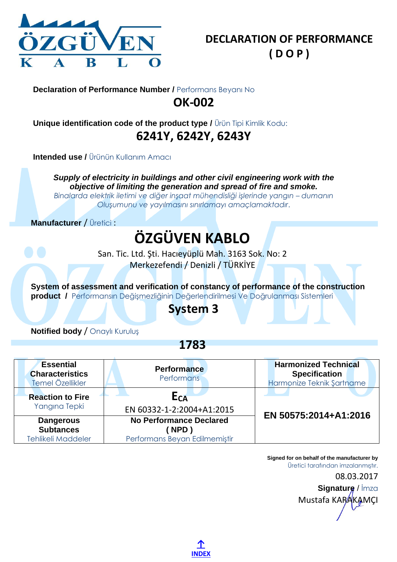

<span id="page-2-0"></span>**Unique identification code of the product type /** Ürün Tipi Kimlik Kodu: **6241Y, 6242Y, 6243Y**

**Intended use / Ürünün Kullanım Amacı** 

*Supply of electricity in buildings and other civil engineering work with the objective of limiting the generation and spread of fire and smoke.*

*Binalarda elektrik iletimi ve diğer inşaat mühendisliği işlerinde yangın – dumanın Oluşumunu ve yayılmasını sınırlamayı amaçlamaktadır*.

**Manufacturer** / Üretici :

# **ÖZGÜVEN KABLO**

San. Tic. Ltd. Şti. Hacıeyüplü Mah. 3163 Sok. No: 2 Merkezefendi / Denizli / TÜRKİYE

**System of assessment and verification of constancy of performance of the construction product /** Performansın Değişmezliğinin Değerlendirilmesi Ve Doğrulanması Sistemleri

### **System 3**

**Notified body** / Onaylı Kuruluş

**1783**

| <b>Essential</b><br><b>Characteristics</b><br>Temel Özellikler    | <b>Performance</b><br><b>Performans</b>                                 | <b>Harmonized Technical</b><br><b>Specification</b><br>Harmonize Teknik Şartname |
|-------------------------------------------------------------------|-------------------------------------------------------------------------|----------------------------------------------------------------------------------|
| <b>Reaction to Fire</b><br>Yangına Tepki                          | E <sub>CA</sub><br>EN 60332-1-2:2004+A1:2015                            | EN 50575:2014+A1:2016                                                            |
| <b>Dangerous</b><br><b>Subtances</b><br><b>Tehlikeli Maddeler</b> | <b>No Performance Declared</b><br>NPD)<br>Performans Beyan Edilmemiştir |                                                                                  |

Mustafa KARAKAMCI

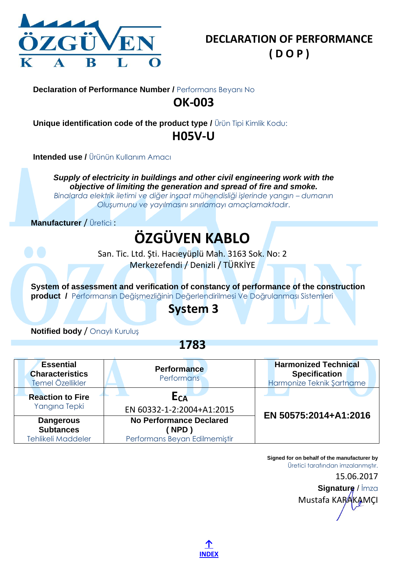

<span id="page-3-0"></span>**Unique identification code of the product type /** Ürün Tipi Kimlik Kodu: **H05V-U**

**Intended use / Ürünün Kullanım Amacı** 

*Supply of electricity in buildings and other civil engineering work with the objective of limiting the generation and spread of fire and smoke.*

*Binalarda elektrik iletimi ve diğer inşaat mühendisliği işlerinde yangın – dumanın Oluşumunu ve yayılmasını sınırlamayı amaçlamaktadır*.

**Manufacturer** / Üretici :

## **ÖZGÜVEN KABLO**

San. Tic. Ltd. Şti. Hacıeyüplü Mah. 3163 Sok. No: 2 Merkezefendi / Denizli / TÜRKİYE

**System of assessment and verification of constancy of performance of the construction product /** Performansın Değişmezliğinin Değerlendirilmesi Ve Doğrulanması Sistemleri

### **System 3**

**Notified body** / Onaylı Kuruluş

**1783**

| <b>Essential</b><br><b>Characteristics</b><br>Temel Özellikler    | <b>Performance</b><br><b>Performans</b>                                       | <b>Harmonized Technical</b><br><b>Specification</b><br>Harmonize Teknik Şartname |
|-------------------------------------------------------------------|-------------------------------------------------------------------------------|----------------------------------------------------------------------------------|
| <b>Reaction to Fire</b><br>Yangına Tepki                          | E <sub>CA</sub><br>EN 60332-1-2:2004+A1:2015                                  | EN 50575:2014+A1:2016                                                            |
| <b>Dangerous</b><br><b>Subtances</b><br><b>Tehlikeli Maddeler</b> | <b>No Performance Declared</b><br><b>NPD</b><br>Performans Beyan Edilmemiştir |                                                                                  |

Mustafa KARAKAMCI

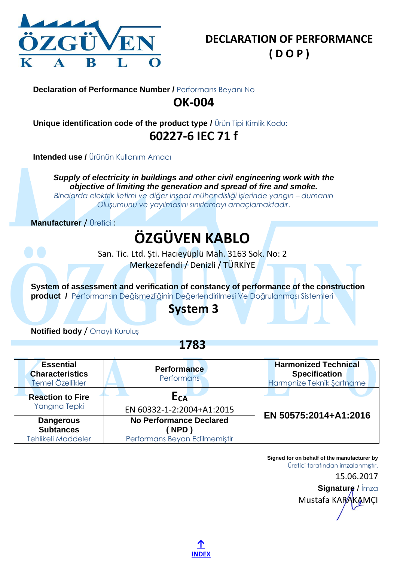

<span id="page-4-0"></span>**Unique identification code of the product type /** Ürün Tipi Kimlik Kodu: **60227-6 IEC 71 f**

**Intended use / Ürünün Kullanım Amacı** 

*Supply of electricity in buildings and other civil engineering work with the objective of limiting the generation and spread of fire and smoke.*

*Binalarda elektrik iletimi ve diğer inşaat mühendisliği işlerinde yangın – dumanın Oluşumunu ve yayılmasını sınırlamayı amaçlamaktadır*.

**Manufacturer** / Üretici :

## **ÖZGÜVEN KABLO**

San. Tic. Ltd. Şti. Hacıeyüplü Mah. 3163 Sok. No: 2 Merkezefendi / Denizli / TÜRKİYE

**System of assessment and verification of constancy of performance of the construction product /** Performansın Değişmezliğinin Değerlendirilmesi Ve Doğrulanması Sistemleri

### **System 3**

**Notified body** / Onaylı Kuruluş

**1783**

| <b>Essential</b><br><b>Characteristics</b><br>Temel Özellikler    | <b>Performance</b><br><b>Performans</b>                                 | <b>Harmonized Technical</b><br><b>Specification</b><br>Harmonize Teknik Şartname |
|-------------------------------------------------------------------|-------------------------------------------------------------------------|----------------------------------------------------------------------------------|
| <b>Reaction to Fire</b><br>Yangına Tepki                          | E <sub>CA</sub><br>EN 60332-1-2:2004+A1:2015                            | EN 50575:2014+A1:2016                                                            |
| <b>Dangerous</b><br><b>Subtances</b><br><b>Tehlikeli Maddeler</b> | <b>No Performance Declared</b><br>NPD)<br>Performans Beyan Edilmemiştir |                                                                                  |

Mustafa KARAKAMCI

<span id="page-4-1"></span>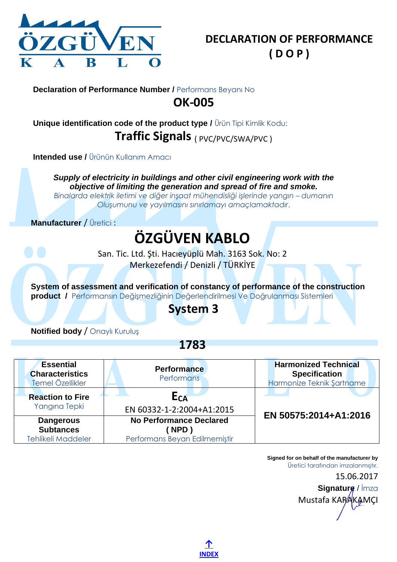

<span id="page-5-0"></span>**Unique identification code of the product type /** Ürün Tipi Kimlik Kodu: **Traffic Signals** ( PVC/PVC/SWA/PVC )

**Intended use / Ürünün Kullanım Amacı** 

*Supply of electricity in buildings and other civil engineering work with the objective of limiting the generation and spread of fire and smoke.*

*Binalarda elektrik iletimi ve diğer inşaat mühendisliği işlerinde yangın – dumanın Oluşumunu ve yayılmasını sınırlamayı amaçlamaktadır*.

**Manufacturer** / Üretici :

# **ÖZGÜVEN KABLO**

San. Tic. Ltd. Şti. Hacıeyüplü Mah. 3163 Sok. No: 2 Merkezefendi / Denizli / TÜRKİYE

**System of assessment and verification of constancy of performance of the construction product /** Performansın Değişmezliğinin Değerlendirilmesi Ve Doğrulanması Sistemleri

## **System 3**

**Notified body** / Onaylı Kuruluş

**1783**

| <b>Essential</b><br><b>Characteristics</b><br>Temel Özellikler    | <b>Performance</b><br><b>Performans</b>                                 | <b>Harmonized Technical</b><br><b>Specification</b><br>Harmonize Teknik Şartname |
|-------------------------------------------------------------------|-------------------------------------------------------------------------|----------------------------------------------------------------------------------|
| <b>Reaction to Fire</b><br>Yangına Tepki                          | E <sub>CA</sub><br>EN 60332-1-2:2004+A1:2015                            | EN 50575:2014+A1:2016                                                            |
| <b>Dangerous</b><br><b>Subtances</b><br><b>Tehlikeli Maddeler</b> | <b>No Performance Declared</b><br>NPD)<br>Performans Beyan Edilmemiştir |                                                                                  |

Mustafa KARAKAMCI

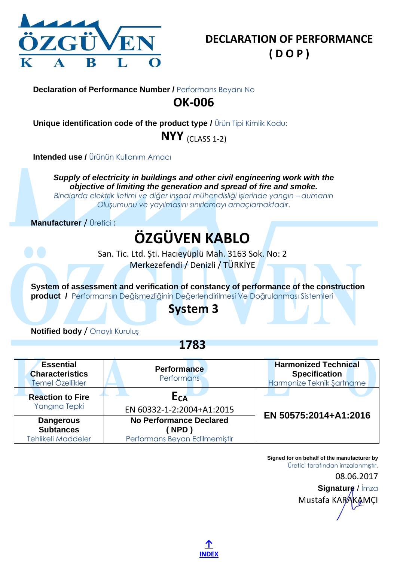

<span id="page-6-0"></span>**Unique identification code of the product type /** Ürün Tipi Kimlik Kodu:

**NYY** (CLASS 1-2)

**Intended use / Ürünün Kullanım Amacı** 

*Supply of electricity in buildings and other civil engineering work with the objective of limiting the generation and spread of fire and smoke.*

*Binalarda elektrik iletimi ve diğer inşaat mühendisliği işlerinde yangın – dumanın Oluşumunu ve yayılmasını sınırlamayı amaçlamaktadır*.

**Manufacturer** / Üretici :

# **ÖZGÜVEN KABLO**

San. Tic. Ltd. Şti. Hacıeyüplü Mah. 3163 Sok. No: 2 Merkezefendi / Denizli / TÜRKİYE

**System of assessment and verification of constancy of performance of the construction product /** Performansın Değişmezliğinin Değerlendirilmesi Ve Doğrulanması Sistemleri

## **System 3**

**Notified body** / Onaylı Kuruluş

**1783**

| <b>Essential</b><br><b>Characteristics</b><br>Temel Özellikler    | <b>Performance</b><br><b>Performans</b>                                | <b>Harmonized Technical</b><br><b>Specification</b><br>Harmonize Teknik Şartname |
|-------------------------------------------------------------------|------------------------------------------------------------------------|----------------------------------------------------------------------------------|
| <b>Reaction to Fire</b><br>Yangına Tepki                          | E <sub>CA</sub><br>EN 60332-1-2:2004+A1:2015                           | EN 50575:2014+A1:2016                                                            |
| <b>Dangerous</b><br><b>Subtances</b><br><b>Tehlikeli Maddeler</b> | <b>No Performance Declared</b><br>NPD<br>Performans Beyan Edilmemiştir |                                                                                  |

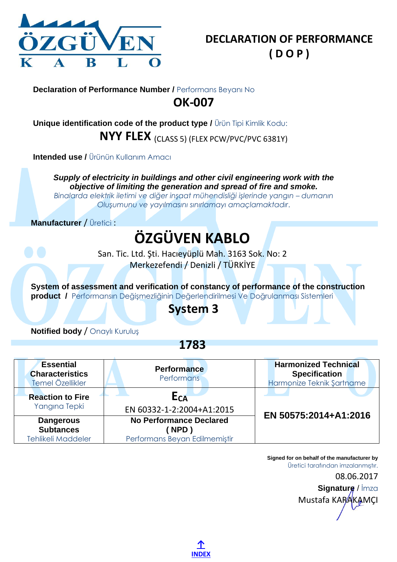

<span id="page-7-0"></span>**Unique identification code of the product type /** Ürün Tipi Kimlik Kodu: **NYY FLEX** (CLASS 5) (FLEX PCW/PVC/PVC 6381Y)

**Intended use / Ürünün Kullanım Amacı** 

*Supply of electricity in buildings and other civil engineering work with the objective of limiting the generation and spread of fire and smoke.*

*Binalarda elektrik iletimi ve diğer inşaat mühendisliği işlerinde yangın – dumanın Oluşumunu ve yayılmasını sınırlamayı amaçlamaktadır*.

**Manufacturer** / Üretici :

# **ÖZGÜVEN KABLO**

San. Tic. Ltd. Şti. Hacıeyüplü Mah. 3163 Sok. No: 2 Merkezefendi / Denizli / TÜRKİYE

**System of assessment and verification of constancy of performance of the construction product /** Performansın Değişmezliğinin Değerlendirilmesi Ve Doğrulanması Sistemleri

## **System 3**

**Notified body** / Onaylı Kuruluş

**1783**

| <b>Essential</b><br><b>Characteristics</b><br>Temel Özellikler    | <b>Performance</b><br><b>Performans</b>                                       | <b>Harmonized Technical</b><br><b>Specification</b><br>Harmonize Teknik Şartname |
|-------------------------------------------------------------------|-------------------------------------------------------------------------------|----------------------------------------------------------------------------------|
| <b>Reaction to Fire</b><br>Yangına Tepki                          | E <sub>CA</sub><br>EN 60332-1-2:2004+A1:2015                                  | EN 50575:2014+A1:2016                                                            |
| <b>Dangerous</b><br><b>Subtances</b><br><b>Tehlikeli Maddeler</b> | <b>No Performance Declared</b><br><b>NPD</b><br>Performans Beyan Edilmemiştir |                                                                                  |

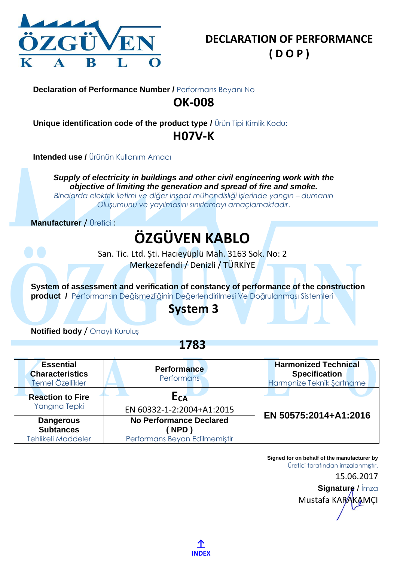

<span id="page-8-0"></span>**Unique identification code of the product type /** Ürün Tipi Kimlik Kodu: **H07V-K**

**Intended use / Ürünün Kullanım Amacı** 

*Supply of electricity in buildings and other civil engineering work with the objective of limiting the generation and spread of fire and smoke.*

*Binalarda elektrik iletimi ve diğer inşaat mühendisliği işlerinde yangın – dumanın Oluşumunu ve yayılmasını sınırlamayı amaçlamaktadır*.

**Manufacturer** / Üretici :

## **ÖZGÜVEN KABLO**

San. Tic. Ltd. Şti. Hacıeyüplü Mah. 3163 Sok. No: 2 Merkezefendi / Denizli / TÜRKİYE

**System of assessment and verification of constancy of performance of the construction product /** Performansın Değişmezliğinin Değerlendirilmesi Ve Doğrulanması Sistemleri

### **System 3**

**Notified body** / Onaylı Kuruluş

**1783**

| <b>Essential</b><br><b>Characteristics</b><br>Temel Özellikler    | <b>Performance</b><br><b>Performans</b>                                       | <b>Harmonized Technical</b><br><b>Specification</b><br>Harmonize Teknik Şartname |
|-------------------------------------------------------------------|-------------------------------------------------------------------------------|----------------------------------------------------------------------------------|
| <b>Reaction to Fire</b><br>Yangına Tepki                          | E <sub>CA</sub><br>EN 60332-1-2:2004+A1:2015                                  | EN 50575:2014+A1:2016                                                            |
| <b>Dangerous</b><br><b>Subtances</b><br><b>Tehlikeli Maddeler</b> | <b>No Performance Declared</b><br><b>NPD</b><br>Performans Beyan Edilmemiştir |                                                                                  |

Mustafa KARAKAMCI

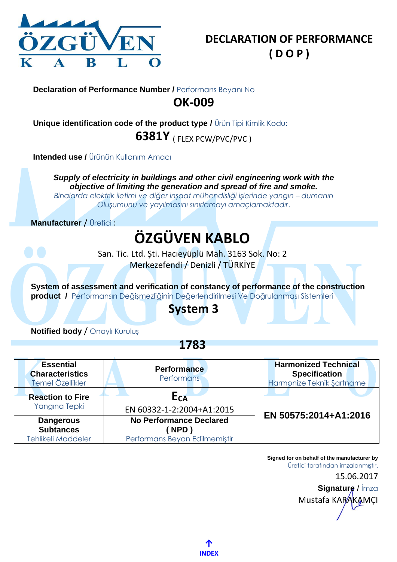

<span id="page-9-0"></span>**Unique identification code of the product type /** Ürün Tipi Kimlik Kodu: **6381Y** ( FLEX PCW/PVC/PVC )

**Intended use /** Ürünün Kullanım Amacı

*Supply of electricity in buildings and other civil engineering work with the objective of limiting the generation and spread of fire and smoke.*

*Binalarda elektrik iletimi ve diğer inşaat mühendisliği işlerinde yangın – dumanın Oluşumunu ve yayılmasını sınırlamayı amaçlamaktadır*.

**Manufacturer** / Üretici :

# **ÖZGÜVEN KABLO**

San. Tic. Ltd. Şti. Hacıeyüplü Mah. 3163 Sok. No: 2 Merkezefendi / Denizli / TÜRKİYE

**System of assessment and verification of constancy of performance of the construction product /** Performansın Değişmezliğinin Değerlendirilmesi Ve Doğrulanması Sistemleri

## **System 3**

**Notified body** / Onaylı Kuruluş

**1783**

| <b>Essential</b><br><b>Characteristics</b><br>Temel Özellikler    | <b>Performance</b><br><b>Performans</b>                                 | <b>Harmonized Technical</b><br><b>Specification</b><br>Harmonize Teknik Şartname |
|-------------------------------------------------------------------|-------------------------------------------------------------------------|----------------------------------------------------------------------------------|
| <b>Reaction to Fire</b><br>Yangına Tepki                          | E <sub>CA</sub><br>EN 60332-1-2:2004+A1:2015                            | EN 50575:2014+A1:2016                                                            |
| <b>Dangerous</b><br><b>Subtances</b><br><b>Tehlikeli Maddeler</b> | <b>No Performance Declared</b><br>NPD)<br>Performans Beyan Edilmemiştir |                                                                                  |

Mustafa KARAKAMCI

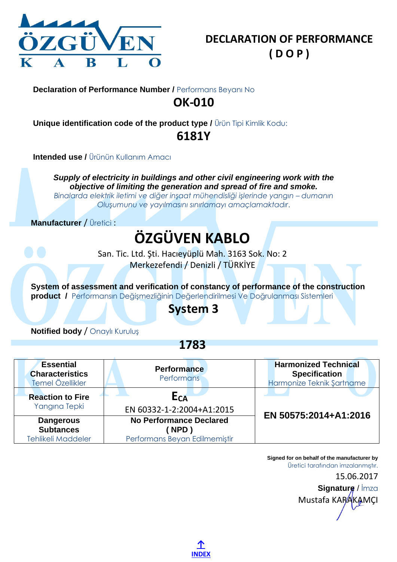

<span id="page-10-0"></span>**Unique identification code of the product type /** Ürün Tipi Kimlik Kodu: **6181Y**

**Intended use / Ürünün Kullanım Amacı** 

*Supply of electricity in buildings and other civil engineering work with the objective of limiting the generation and spread of fire and smoke.*

*Binalarda elektrik iletimi ve diğer inşaat mühendisliği işlerinde yangın – dumanın Oluşumunu ve yayılmasını sınırlamayı amaçlamaktadır*.

**Manufacturer** / Üretici :

## **ÖZGÜVEN KABLO**

San. Tic. Ltd. Şti. Hacıeyüplü Mah. 3163 Sok. No: 2 Merkezefendi / Denizli / TÜRKİYE

**System of assessment and verification of constancy of performance of the construction product /** Performansın Değişmezliğinin Değerlendirilmesi Ve Doğrulanması Sistemleri

### **System 3**

**Notified body** / Onaylı Kuruluş

**1783**

| <b>Essential</b><br><b>Characteristics</b><br>Temel Özellikler    | <b>Performance</b><br><b>Performans</b>                                       | <b>Harmonized Technical</b><br><b>Specification</b><br>Harmonize Teknik Şartname |
|-------------------------------------------------------------------|-------------------------------------------------------------------------------|----------------------------------------------------------------------------------|
| <b>Reaction to Fire</b><br>Yangına Tepki                          | E <sub>CA</sub><br>EN 60332-1-2:2004+A1:2015                                  | EN 50575:2014+A1:2016                                                            |
| <b>Dangerous</b><br><b>Subtances</b><br><b>Tehlikeli Maddeler</b> | <b>No Performance Declared</b><br><b>NPD</b><br>Performans Beyan Edilmemiştir |                                                                                  |

Mustafa KARAKAMCI

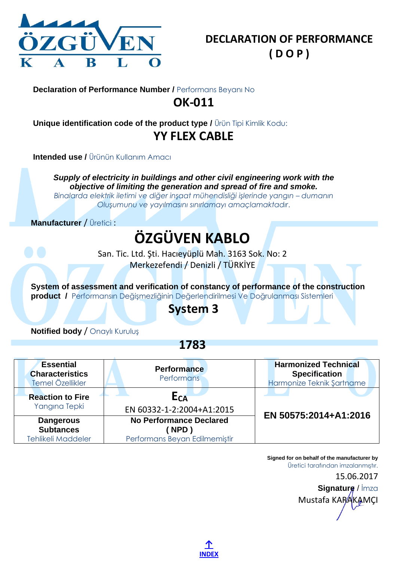

<span id="page-11-0"></span>**Unique identification code of the product type /** Ürün Tipi Kimlik Kodu: **YY FLEX CABLE**

**Intended use / Ürünün Kullanım Amacı** 

*Supply of electricity in buildings and other civil engineering work with the objective of limiting the generation and spread of fire and smoke.*

*Binalarda elektrik iletimi ve diğer inşaat mühendisliği işlerinde yangın – dumanın Oluşumunu ve yayılmasını sınırlamayı amaçlamaktadır*.

**Manufacturer** / Üretici :

# **ÖZGÜVEN KABLO**

San. Tic. Ltd. Şti. Hacıeyüplü Mah. 3163 Sok. No: 2 Merkezefendi / Denizli / TÜRKİYE

**System of assessment and verification of constancy of performance of the construction product /** Performansın Değişmezliğinin Değerlendirilmesi Ve Doğrulanması Sistemleri

## **System 3**

**Notified body** / Onaylı Kuruluş

**1783**

| <b>Essential</b><br><b>Characteristics</b><br>Temel Özellikler    | <b>Performance</b><br><b>Performans</b>                                 | <b>Harmonized Technical</b><br><b>Specification</b><br>Harmonize Teknik Şartname |
|-------------------------------------------------------------------|-------------------------------------------------------------------------|----------------------------------------------------------------------------------|
| <b>Reaction to Fire</b><br>Yangına Tepki                          | E <sub>CA</sub><br>EN 60332-1-2:2004+A1:2015                            | EN 50575:2014+A1:2016                                                            |
| <b>Dangerous</b><br><b>Subtances</b><br><b>Tehlikeli Maddeler</b> | <b>No Performance Declared</b><br>NPD)<br>Performans Beyan Edilmemiştir |                                                                                  |

Mustafa KARAKAMCI

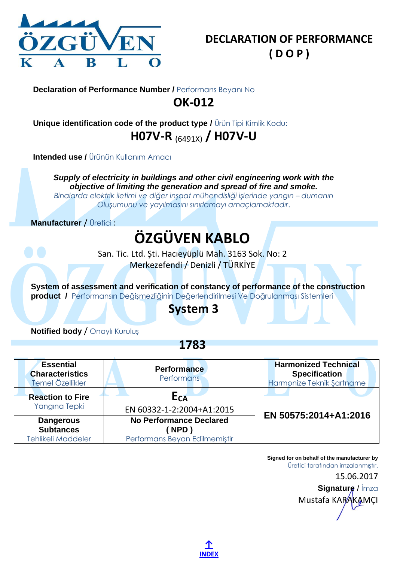

<span id="page-12-0"></span>**Unique identification code of the product type /** Ürün Tipi Kimlik Kodu: **H07V-R** (6491X) **/ H07V-U**

**Intended use / Ürünün Kullanım Amacı** 

*Supply of electricity in buildings and other civil engineering work with the objective of limiting the generation and spread of fire and smoke.*

*Binalarda elektrik iletimi ve diğer inşaat mühendisliği işlerinde yangın – dumanın Oluşumunu ve yayılmasını sınırlamayı amaçlamaktadır*.

**Manufacturer** / Üretici :

# **ÖZGÜVEN KABLO**

San. Tic. Ltd. Şti. Hacıeyüplü Mah. 3163 Sok. No: 2 Merkezefendi / Denizli / TÜRKİYE

**System of assessment and verification of constancy of performance of the construction product /** Performansın Değişmezliğinin Değerlendirilmesi Ve Doğrulanması Sistemleri

## **System 3**

**Notified body** / Onaylı Kuruluş

**1783**

| <b>Essential</b><br><b>Characteristics</b><br>Temel Özellikler    | <b>Performance</b><br><b>Performans</b>                                 | <b>Harmonized Technical</b><br><b>Specification</b><br>Harmonize Teknik Şartname |
|-------------------------------------------------------------------|-------------------------------------------------------------------------|----------------------------------------------------------------------------------|
| <b>Reaction to Fire</b><br>Yangına Tepki                          | E <sub>CA</sub><br>EN 60332-1-2:2004+A1:2015                            | EN 50575:2014+A1:2016                                                            |
| <b>Dangerous</b><br><b>Subtances</b><br><b>Tehlikeli Maddeler</b> | <b>No Performance Declared</b><br>NPD)<br>Performans Beyan Edilmemiştir |                                                                                  |

Mustafa KARAKAMCI

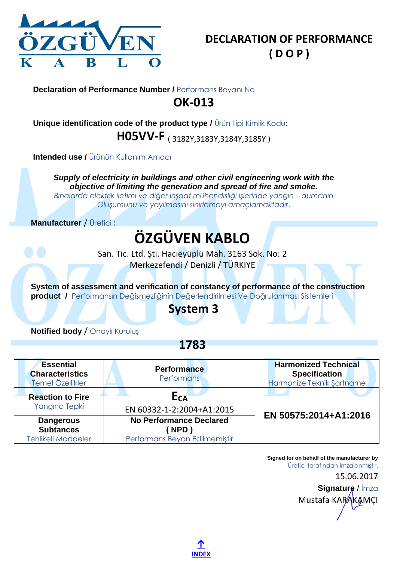

<span id="page-13-0"></span>**Unique identification code of the product type /** Ürün Tipi Kimlik Kodu: **H05VV-F** ( 3182Y,3183Y,3184Y,3185Y )

**Intended use / Ürünün Kullanım Amacı** 

*Supply of electricity in buildings and other civil engineering work with the objective of limiting the generation and spread of fire and smoke.*

*Binalarda elektrik iletimi ve diğer inşaat mühendisliği işlerinde yangın – dumanın Oluşumunu ve yayılmasını sınırlamayı amaçlamaktadır*.

**Manufacturer** / Üretici :

# **ÖZGÜVEN KABLO**

San. Tic. Ltd. Şti. Hacıeyüplü Mah. 3163 Sok. No: 2 Merkezefendi / Denizli / TÜRKİYE

**System of assessment and verification of constancy of performance of the construction product /** Performansın Değişmezliğinin Değerlendirilmesi Ve Doğrulanması Sistemleri

## **System 3**

**Notified body** / Onaylı Kuruluş

**1783**

| <b>Essential</b><br><b>Characteristics</b><br>Temel Özellikler    | <b>Performance</b><br><b>Performans</b>                                       | <b>Harmonized Technical</b><br><b>Specification</b><br>Harmonize Teknik Şartname |
|-------------------------------------------------------------------|-------------------------------------------------------------------------------|----------------------------------------------------------------------------------|
| <b>Reaction to Fire</b><br>Yangına Tepki                          | E <sub>CA</sub><br>EN 60332-1-2:2004+A1:2015                                  |                                                                                  |
| <b>Dangerous</b><br><b>Subtances</b><br><b>Tehlikeli Maddeler</b> | <b>No Performance Declared</b><br><b>NPD</b><br>Performans Beyan Edilmemiştir | EN 50575:2014+A1:2016                                                            |

Mustafa KARAKAMCI

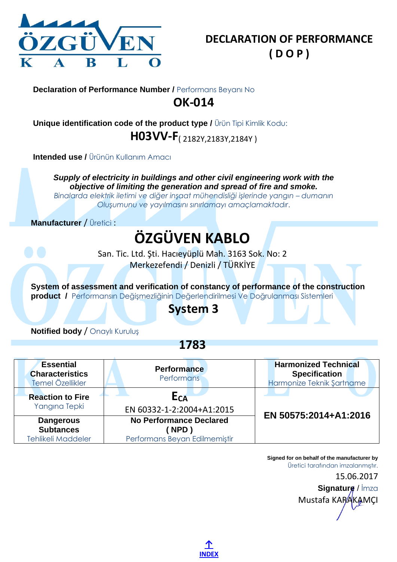

<span id="page-14-0"></span>**Unique identification code of the product type /** Ürün Tipi Kimlik Kodu: **H03VV-F**( 2182Y,2183Y,2184Y )

**Intended use / Ürünün Kullanım Amacı** 

*Supply of electricity in buildings and other civil engineering work with the objective of limiting the generation and spread of fire and smoke.*

*Binalarda elektrik iletimi ve diğer inşaat mühendisliği işlerinde yangın – dumanın Oluşumunu ve yayılmasını sınırlamayı amaçlamaktadır*.

**Manufacturer** / Üretici :

# **ÖZGÜVEN KABLO**

San. Tic. Ltd. Şti. Hacıeyüplü Mah. 3163 Sok. No: 2 Merkezefendi / Denizli / TÜRKİYE

**System of assessment and verification of constancy of performance of the construction product /** Performansın Değişmezliğinin Değerlendirilmesi Ve Doğrulanması Sistemleri

## **System 3**

**Notified body** / Onaylı Kuruluş

**1783**

| <b>Essential</b><br><b>Characteristics</b><br>Temel Özellikler    | <b>Performance</b><br><b>Performans</b>                                 | <b>Harmonized Technical</b><br><b>Specification</b><br>Harmonize Teknik Şartname |
|-------------------------------------------------------------------|-------------------------------------------------------------------------|----------------------------------------------------------------------------------|
| <b>Reaction to Fire</b><br>Yangına Tepki                          | E <sub>CA</sub><br>EN 60332-1-2:2004+A1:2015                            |                                                                                  |
| <b>Dangerous</b><br><b>Subtances</b><br><b>Tehlikeli Maddeler</b> | <b>No Performance Declared</b><br>NPD)<br>Performans Beyan Edilmemiştir | EN 50575:2014+A1:2016                                                            |

Mustafa KARAKAMCI

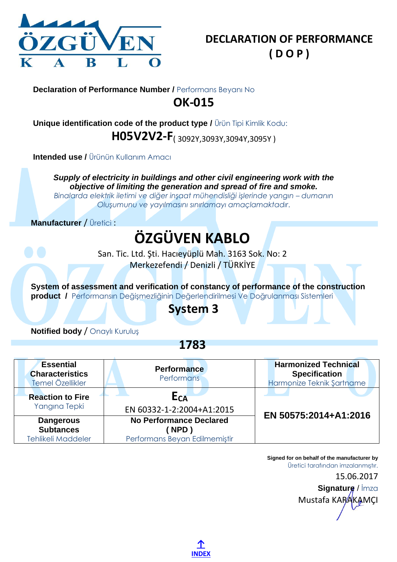

<span id="page-15-0"></span>**Unique identification code of the product type /** Ürün Tipi Kimlik Kodu: **H05V2V2-F**( 3092Y,3093Y,3094Y,3095Y )

**Intended use / Ürünün Kullanım Amacı** 

*Supply of electricity in buildings and other civil engineering work with the objective of limiting the generation and spread of fire and smoke.*

*Binalarda elektrik iletimi ve diğer inşaat mühendisliği işlerinde yangın – dumanın Oluşumunu ve yayılmasını sınırlamayı amaçlamaktadır*.

**Manufacturer** / Üretici :

# **ÖZGÜVEN KABLO**

San. Tic. Ltd. Şti. Hacıeyüplü Mah. 3163 Sok. No: 2 Merkezefendi / Denizli / TÜRKİYE

**System of assessment and verification of constancy of performance of the construction product /** Performansın Değişmezliğinin Değerlendirilmesi Ve Doğrulanması Sistemleri

## **System 3**

**Notified body** / Onaylı Kuruluş

**1783**

| <b>Essential</b><br><b>Characteristics</b><br>Temel Özellikler    | <b>Performance</b><br><b>Performans</b>                                       | <b>Harmonized Technical</b><br><b>Specification</b><br>Harmonize Teknik Şartname |
|-------------------------------------------------------------------|-------------------------------------------------------------------------------|----------------------------------------------------------------------------------|
| <b>Reaction to Fire</b><br>Yangına Tepki                          | E <sub>CA</sub><br>EN 60332-1-2:2004+A1:2015                                  |                                                                                  |
| <b>Dangerous</b><br><b>Subtances</b><br><b>Tehlikeli Maddeler</b> | <b>No Performance Declared</b><br><b>NPD</b><br>Performans Beyan Edilmemiştir | EN 50575:2014+A1:2016                                                            |

Mustafa KARAKAMCI

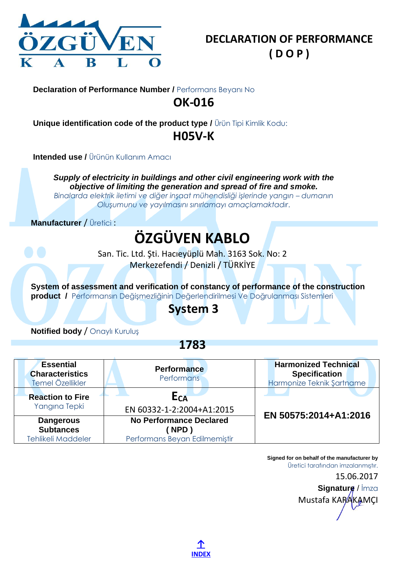

<span id="page-16-0"></span>**Unique identification code of the product type /** Ürün Tipi Kimlik Kodu: **H05V-K**

**Intended use / Ürünün Kullanım Amacı** 

*Supply of electricity in buildings and other civil engineering work with the objective of limiting the generation and spread of fire and smoke.*

*Binalarda elektrik iletimi ve diğer inşaat mühendisliği işlerinde yangın – dumanın Oluşumunu ve yayılmasını sınırlamayı amaçlamaktadır*.

**Manufacturer** / Üretici :

## **ÖZGÜVEN KABLO**

San. Tic. Ltd. Şti. Hacıeyüplü Mah. 3163 Sok. No: 2 Merkezefendi / Denizli / TÜRKİYE

**System of assessment and verification of constancy of performance of the construction product /** Performansın Değişmezliğinin Değerlendirilmesi Ve Doğrulanması Sistemleri

### **System 3**

**Notified body** / Onaylı Kuruluş

**1783**

| <b>Essential</b><br><b>Characteristics</b><br>Temel Özellikler    | <b>Performance</b><br><b>Performans</b>                                 | <b>Harmonized Technical</b><br><b>Specification</b><br>Harmonize Teknik Şartname |
|-------------------------------------------------------------------|-------------------------------------------------------------------------|----------------------------------------------------------------------------------|
| <b>Reaction to Fire</b><br>Yangına Tepki                          | E <sub>CA</sub><br>EN 60332-1-2:2004+A1:2015                            | EN 50575:2014+A1:2016                                                            |
| <b>Dangerous</b><br><b>Subtances</b><br><b>Tehlikeli Maddeler</b> | <b>No Performance Declared</b><br>NPD)<br>Performans Beyan Edilmemiştir |                                                                                  |

Mustafa KARAKAMCI

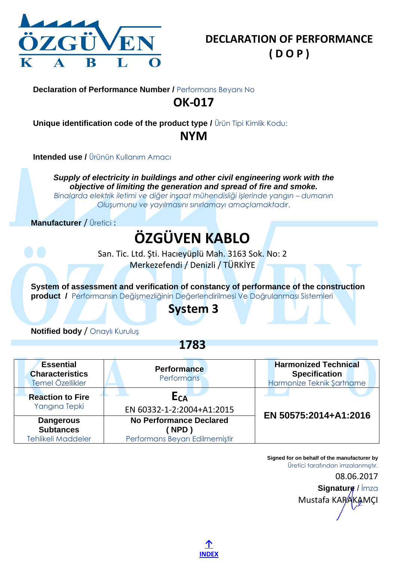

<span id="page-17-0"></span>**Unique identification code of the product type /** Ürün Tipi Kimlik Kodu:

**NYM**

**Intended use / Ürünün Kullanım Amacı** 

*Supply of electricity in buildings and other civil engineering work with the objective of limiting the generation and spread of fire and smoke.*

*Binalarda elektrik iletimi ve diğer inşaat mühendisliği işlerinde yangın – dumanın Oluşumunu ve yayılmasını sınırlamayı amaçlamaktadır*.

**Manufacturer** / Üretici :

# **ÖZGÜVEN KABLO**

San. Tic. Ltd. Şti. Hacıeyüplü Mah. 3163 Sok. No: 2 Merkezefendi / Denizli / TÜRKİYE

**System of assessment and verification of constancy of performance of the construction product /** Performansın Değişmezliğinin Değerlendirilmesi Ve Doğrulanması Sistemleri

## **System 3**

**Notified body** / Onaylı Kuruluş

**1783**

| <b>Essential</b><br><b>Characteristics</b><br>Temel Özellikler    | <b>Performance</b><br><b>Performans</b>                                | <b>Harmonized Technical</b><br><b>Specification</b><br>Harmonize Teknik Şartname |
|-------------------------------------------------------------------|------------------------------------------------------------------------|----------------------------------------------------------------------------------|
| <b>Reaction to Fire</b><br>Yangına Tepki                          | E <sub>CA</sub><br>EN 60332-1-2:2004+A1:2015                           |                                                                                  |
| <b>Dangerous</b><br><b>Subtances</b><br><b>Tehlikeli Maddeler</b> | <b>No Performance Declared</b><br>NPD<br>Performans Beyan Edilmemiştir | EN 50575:2014+A1:2016                                                            |

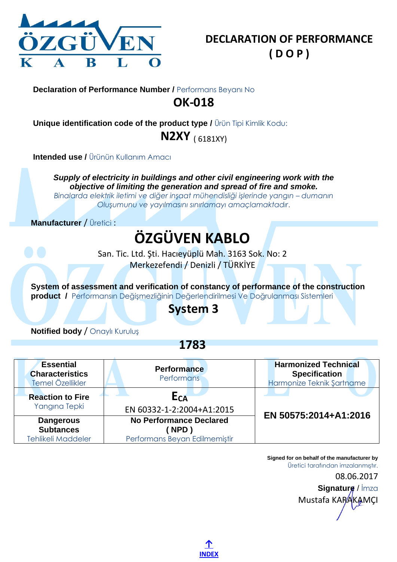

<span id="page-18-0"></span>**Unique identification code of the product type /** Ürün Tipi Kimlik Kodu: **N2XY** ( 6181XY)

**Intended use / Ürünün Kullanım Amacı** 

*Supply of electricity in buildings and other civil engineering work with the objective of limiting the generation and spread of fire and smoke.*

*Binalarda elektrik iletimi ve diğer inşaat mühendisliği işlerinde yangın – dumanın Oluşumunu ve yayılmasını sınırlamayı amaçlamaktadır*.

**Manufacturer** / Üretici :

## **ÖZGÜVEN KABLO**

San. Tic. Ltd. Şti. Hacıeyüplü Mah. 3163 Sok. No: 2 Merkezefendi / Denizli / TÜRKİYE

**System of assessment and verification of constancy of performance of the construction product /** Performansın Değişmezliğinin Değerlendirilmesi Ve Doğrulanması Sistemleri

### **System 3**

**Notified body** / Onaylı Kuruluş

**1783**

| <b>Essential</b><br><b>Characteristics</b><br>Temel Özellikler    | <b>Performance</b><br><b>Performans</b>                                 | <b>Harmonized Technical</b><br><b>Specification</b><br>Harmonize Teknik Şartname |
|-------------------------------------------------------------------|-------------------------------------------------------------------------|----------------------------------------------------------------------------------|
| <b>Reaction to Fire</b><br>Yangına Tepki                          | E <sub>CA</sub><br>EN 60332-1-2:2004+A1:2015                            |                                                                                  |
| <b>Dangerous</b><br><b>Subtances</b><br><b>Tehlikeli Maddeler</b> | <b>No Performance Declared</b><br>NPD)<br>Performans Beyan Edilmemiştir | EN 50575:2014+A1:2016                                                            |

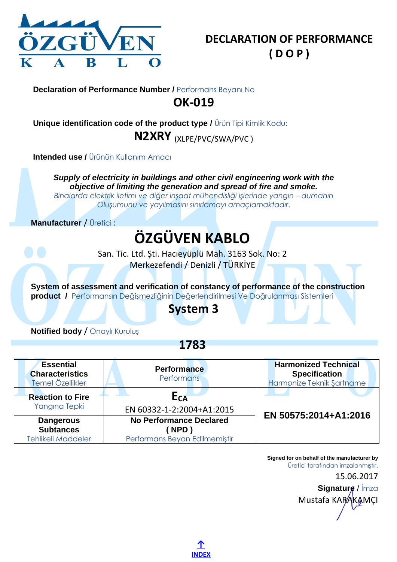

<span id="page-19-0"></span>**Unique identification code of the product type /** Ürün Tipi Kimlik Kodu: **N2XRY** (XLPE/PVC/SWA/PVC )

**Intended use / Ürünün Kullanım Amacı** 

*Supply of electricity in buildings and other civil engineering work with the objective of limiting the generation and spread of fire and smoke.*

*Binalarda elektrik iletimi ve diğer inşaat mühendisliği işlerinde yangın – dumanın Oluşumunu ve yayılmasını sınırlamayı amaçlamaktadır*.

**Manufacturer** / Üretici :

# **ÖZGÜVEN KABLO**

San. Tic. Ltd. Şti. Hacıeyüplü Mah. 3163 Sok. No: 2 Merkezefendi / Denizli / TÜRKİYE

**System of assessment and verification of constancy of performance of the construction product /** Performansın Değişmezliğinin Değerlendirilmesi Ve Doğrulanması Sistemleri

## **System 3**

**Notified body** / Onaylı Kuruluş

**1783**

| <b>Essential</b><br><b>Characteristics</b><br>Temel Özellikler    | <b>Performance</b><br><b>Performans</b>                                 | <b>Harmonized Technical</b><br><b>Specification</b><br>Harmonize Teknik Şartname |
|-------------------------------------------------------------------|-------------------------------------------------------------------------|----------------------------------------------------------------------------------|
| <b>Reaction to Fire</b><br>Yangına Tepki                          | E <sub>CA</sub><br>EN 60332-1-2:2004+A1:2015                            |                                                                                  |
| <b>Dangerous</b><br><b>Subtances</b><br><b>Tehlikeli Maddeler</b> | <b>No Performance Declared</b><br>NPD)<br>Performans Beyan Edilmemiştir | EN 50575:2014+A1:2016                                                            |

**[↑](#page-0-1) [INDEX](#page-0-1)**

Mustafa KARAKAMCI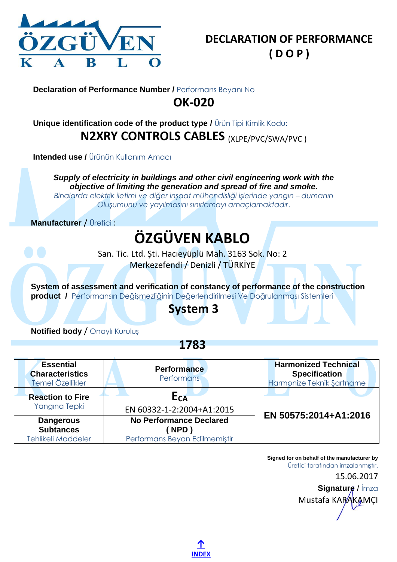

### <span id="page-20-0"></span>**Unique identification code of the product type /** Ürün Tipi Kimlik Kodu: **N2XRY CONTROLS CABLES** (XLPE/PVC/SWA/PVC )

**Intended use /** Ürünün Kullanım Amacı

*Supply of electricity in buildings and other civil engineering work with the objective of limiting the generation and spread of fire and smoke.*

*Binalarda elektrik iletimi ve diğer inşaat mühendisliği işlerinde yangın – dumanın Oluşumunu ve yayılmasını sınırlamayı amaçlamaktadır*.

**Manufacturer** / Üretici :

# **ÖZGÜVEN KABLO**

San. Tic. Ltd. Şti. Hacıeyüplü Mah. 3163 Sok. No: 2 Merkezefendi / Denizli / TÜRKİYE

**System of assessment and verification of constancy of performance of the construction product /** Performansın Değişmezliğinin Değerlendirilmesi Ve Doğrulanması Sistemleri

## **System 3**

**Notified body** / Onaylı Kuruluş

**1783**

| <b>Essential</b><br><b>Characteristics</b><br>Temel Özellikler    | <b>Performance</b><br><b>Performans</b>                                       | <b>Harmonized Technical</b><br><b>Specification</b><br>Harmonize Teknik Şartname |
|-------------------------------------------------------------------|-------------------------------------------------------------------------------|----------------------------------------------------------------------------------|
| <b>Reaction to Fire</b><br>Yangına Tepki                          | E <sub>CA</sub><br>EN 60332-1-2:2004+A1:2015                                  | EN 50575:2014+A1:2016                                                            |
| <b>Dangerous</b><br><b>Subtances</b><br><b>Tehlikeli Maddeler</b> | <b>No Performance Declared</b><br><b>NPD</b><br>Performans Beyan Edilmemiştir |                                                                                  |

Mustafa KARAKAMCI

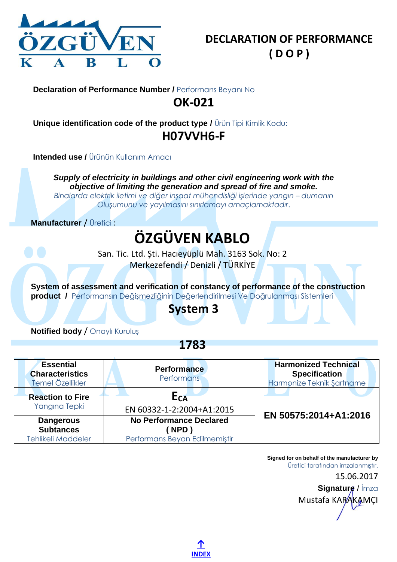

<span id="page-21-0"></span>**Unique identification code of the product type /** Ürün Tipi Kimlik Kodu: **H07VVH6-F**

**Intended use / Ürünün Kullanım Amacı** 

*Supply of electricity in buildings and other civil engineering work with the objective of limiting the generation and spread of fire and smoke.*

*Binalarda elektrik iletimi ve diğer inşaat mühendisliği işlerinde yangın – dumanın Oluşumunu ve yayılmasını sınırlamayı amaçlamaktadır*.

**Manufacturer** / Üretici :

# **ÖZGÜVEN KABLO**

San. Tic. Ltd. Şti. Hacıeyüplü Mah. 3163 Sok. No: 2 Merkezefendi / Denizli / TÜRKİYE

**System of assessment and verification of constancy of performance of the construction product /** Performansın Değişmezliğinin Değerlendirilmesi Ve Doğrulanması Sistemleri

## **System 3**

**Notified body** / Onaylı Kuruluş

**1783**

| <b>Essential</b><br><b>Characteristics</b><br>Temel Özellikler    | <b>Performance</b><br><b>Performans</b>                                       | <b>Harmonized Technical</b><br><b>Specification</b><br>Harmonize Teknik Şartname |
|-------------------------------------------------------------------|-------------------------------------------------------------------------------|----------------------------------------------------------------------------------|
| <b>Reaction to Fire</b><br>Yangına Tepki                          | E <sub>CA</sub><br>EN 60332-1-2:2004+A1:2015                                  |                                                                                  |
| <b>Dangerous</b><br><b>Subtances</b><br><b>Tehlikeli Maddeler</b> | <b>No Performance Declared</b><br><b>NPD</b><br>Performans Beyan Edilmemiştir | EN 50575:2014+A1:2016                                                            |

Mustafa KARAKAMCI

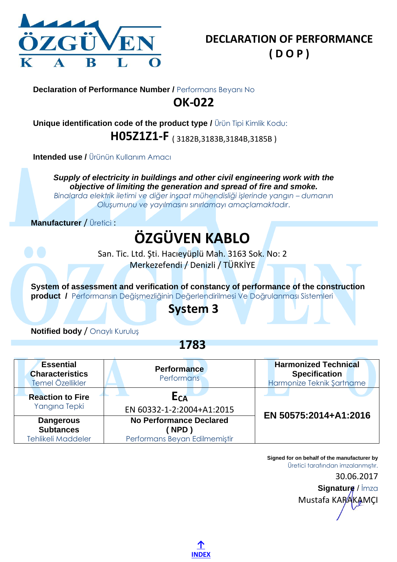

<span id="page-22-0"></span>**Unique identification code of the product type /** Ürün Tipi Kimlik Kodu: **H05Z1Z1-F** ( 3182B,3183B,3184B,3185B )

**Intended use / Ürünün Kullanım Amacı** 

*Supply of electricity in buildings and other civil engineering work with the objective of limiting the generation and spread of fire and smoke.*

*Binalarda elektrik iletimi ve diğer inşaat mühendisliği işlerinde yangın – dumanın Oluşumunu ve yayılmasını sınırlamayı amaçlamaktadır*.

**Manufacturer** / Üretici :

# **ÖZGÜVEN KABLO**

San. Tic. Ltd. Şti. Hacıeyüplü Mah. 3163 Sok. No: 2 Merkezefendi / Denizli / TÜRKİYE

**System of assessment and verification of constancy of performance of the construction product /** Performansın Değişmezliğinin Değerlendirilmesi Ve Doğrulanması Sistemleri

## **System 3**

**Notified body** / Onaylı Kuruluş

**1783**

| <b>Essential</b><br><b>Characteristics</b><br>Temel Özellikler    | <b>Performance</b><br><b>Performans</b>                                       | <b>Harmonized Technical</b><br><b>Specification</b><br>Harmonize Teknik Şartname |
|-------------------------------------------------------------------|-------------------------------------------------------------------------------|----------------------------------------------------------------------------------|
| <b>Reaction to Fire</b><br>Yangına Tepki                          | E <sub>CA</sub><br>EN 60332-1-2:2004+A1:2015                                  |                                                                                  |
| <b>Dangerous</b><br><b>Subtances</b><br><b>Tehlikeli Maddeler</b> | <b>No Performance Declared</b><br><b>NPD</b><br>Performans Beyan Edilmemiştir | EN 50575:2014+A1:2016                                                            |

**[↑](#page-0-1) [INDEX](#page-0-1)**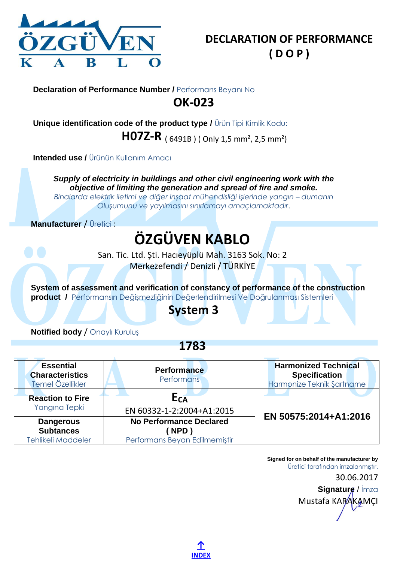

<span id="page-23-0"></span>**Unique identification code of the product type /** Ürün Tipi Kimlik Kodu:

**H07Z-R** ( 6491B ) ( Only 1,5 mm², 2,5 mm²)

**Intended use /** Ürünün Kullanım Amacı

*Supply of electricity in buildings and other civil engineering work with the objective of limiting the generation and spread of fire and smoke.*

*Binalarda elektrik iletimi ve diğer inşaat mühendisliği işlerinde yangın – dumanın Oluşumunu ve yayılmasını sınırlamayı amaçlamaktadır*.

**Manufacturer** / Üretici :

# **ÖZGÜVEN KABLO**

San. Tic. Ltd. Şti. Hacıeyüplü Mah. 3163 Sok. No: 2 Merkezefendi / Denizli / TÜRKİYE

**System of assessment and verification of constancy of performance of the construction product /** Performansın Değişmezliğinin Değerlendirilmesi Ve Doğrulanması Sistemleri

## **System 3**

**Notified body** / Onaylı Kuruluş

**1783**

| <b>Essential</b><br><b>Characteristics</b><br>Temel Özellikler    | <b>Performance</b><br>Performans                                        | <b>Harmonized Technical</b><br><b>Specification</b><br>Harmonize Teknik Şartname |
|-------------------------------------------------------------------|-------------------------------------------------------------------------|----------------------------------------------------------------------------------|
| <b>Reaction to Fire</b><br>Yangına Tepki                          | $E_{CA}$<br>EN 60332-1-2:2004+A1:2015                                   | EN 50575:2014+A1:2016                                                            |
| <b>Dangerous</b><br><b>Subtances</b><br><b>Tehlikeli Maddeler</b> | <b>No Performance Declared</b><br>NPD)<br>Performans Beyan Edilmemiştir |                                                                                  |

**[↑](#page-0-1) [INDEX](#page-0-1)**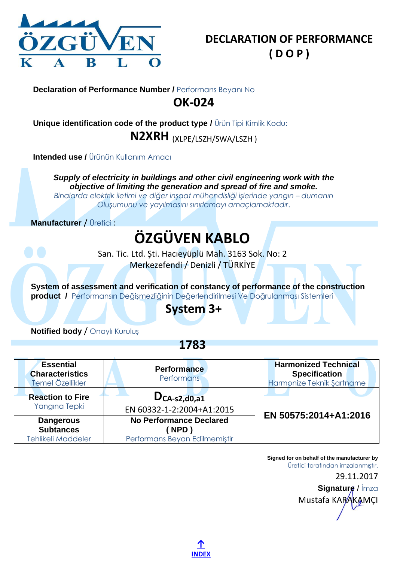

<span id="page-24-0"></span>**Unique identification code of the product type /** Ürün Tipi Kimlik Kodu: **N2XRH** (XLPE/LSZH/SWA/LSZH )

**Intended use /** Ürünün Kullanım Amacı

*Supply of electricity in buildings and other civil engineering work with the objective of limiting the generation and spread of fire and smoke.*

*Binalarda elektrik iletimi ve diğer inşaat mühendisliği işlerinde yangın – dumanın Oluşumunu ve yayılmasını sınırlamayı amaçlamaktadır*.

**Manufacturer** / Üretici :

# **ÖZGÜVEN KABLO**

San. Tic. Ltd. Şti. Hacıeyüplü Mah. 3163 Sok. No: 2 Merkezefendi / Denizli / TÜRKİYE

**System of assessment and verification of constancy of performance of the construction product /** Performansın Değişmezliğinin Değerlendirilmesi Ve Doğrulanması Sistemleri

### **System 3+**

**Notified body** / Onaylı Kuruluş

**1783**

| <b>Essential</b><br><b>Characteristics</b><br>Temel Özellikler    | <b>Performance</b><br>Performans                                        | <b>Harmonized Technical</b><br><b>Specification</b><br>Harmonize Teknik Şartname |
|-------------------------------------------------------------------|-------------------------------------------------------------------------|----------------------------------------------------------------------------------|
| <b>Reaction to Fire</b><br>Yangına Tepki                          | $D_{CA-S2,d0,a1}$<br>EN 60332-1-2:2004+A1:2015                          | EN 50575:2014+A1:2016                                                            |
| <b>Dangerous</b><br><b>Subtances</b><br><b>Tehlikeli Maddeler</b> | <b>No Performance Declared</b><br>NPD)<br>Performans Beyan Edilmemiştir |                                                                                  |

**Signed for on behalf of the manufacturer by** Üretici tarafından imzalanmıştır. 29.11.2017

**Signature** / İmza Mustafa KARAKAMCI

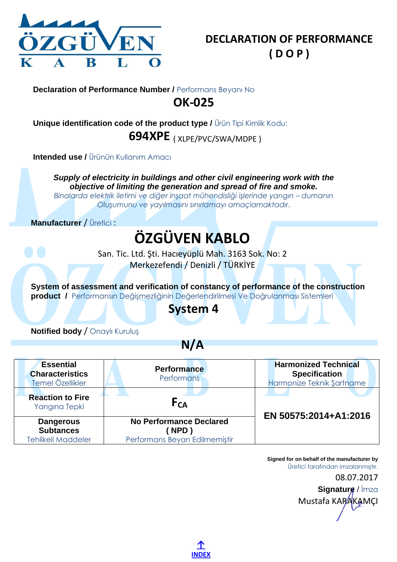

<span id="page-25-0"></span>**Unique identification code of the product type /** Ürün Tipi Kimlik Kodu: **694XPE** ( XLPE/PVC/SWA/MDPE )

**Intended use /** Ürünün Kullanım Amacı

*Supply of electricity in buildings and other civil engineering work with the objective of limiting the generation and spread of fire and smoke.*

*Binalarda elektrik iletimi ve diğer inşaat mühendisliği işlerinde yangın – dumanın Oluşumunu ve yayılmasını sınırlamayı amaçlamaktadır*.

**Manufacturer** / Üretici :

# **ÖZGÜVEN KABLO**

San. Tic. Ltd. Şti. Hacıeyüplü Mah. 3163 Sok. No: 2 Merkezefendi / Denizli / TÜRKİYE

**System of assessment and verification of constancy of performance of the construction product /** Performansın Değişmezliğinin Değerlendirilmesi Ve Doğrulanması Sistemleri

### **System 4**

**Notified body** / Onaylı Kuruluş

**N/A**

| <b>Essential</b><br><b>Characteristics</b><br>Temel Özellikler | <b>Performance</b><br><b>Performans</b>                                       | <b>Harmonized Technical</b><br><b>Specification</b><br>Harmonize Teknik Şartname |
|----------------------------------------------------------------|-------------------------------------------------------------------------------|----------------------------------------------------------------------------------|
| <b>Reaction to Fire</b><br>Yangına Tepki                       | F <sub>CA</sub>                                                               | EN 50575:2014+A1:2016                                                            |
| <b>Dangerous</b><br><b>Subtances</b><br>Tehlikeli Maddeler     | <b>No Performance Declared</b><br><b>NPD</b><br>Performans Beyan Edilmemiştir |                                                                                  |

**Signed for on behalf of the manufacturer by** Üretici tarafından imzalanmıştır. 08.07.2017 **Signature** / İmza Mustafa KARAKAMCI

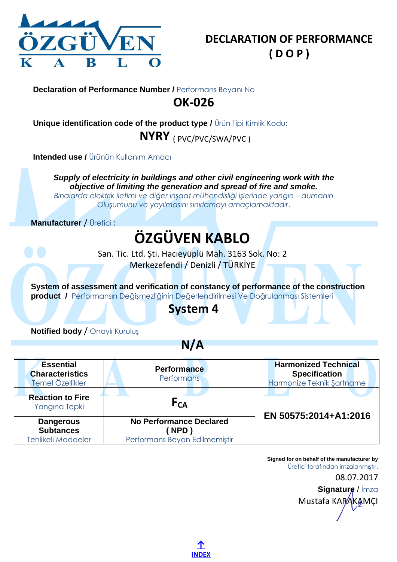

<span id="page-26-0"></span>**Unique identification code of the product type /** Ürün Tipi Kimlik Kodu: **NYRY** ( PVC/PVC/SWA/PVC )

**Intended use /** Ürünün Kullanım Amacı

*Supply of electricity in buildings and other civil engineering work with the objective of limiting the generation and spread of fire and smoke.*

*Binalarda elektrik iletimi ve diğer inşaat mühendisliği işlerinde yangın – dumanın Oluşumunu ve yayılmasını sınırlamayı amaçlamaktadır*.

**Manufacturer** / Üretici :

# **ÖZGÜVEN KABLO**

San. Tic. Ltd. Şti. Hacıeyüplü Mah. 3163 Sok. No: 2 Merkezefendi / Denizli / TÜRKİYE

**System of assessment and verification of constancy of performance of the construction product /** Performansın Değişmezliğinin Değerlendirilmesi Ve Doğrulanması Sistemleri

### **System 4**

**Notified body** / Onaylı Kuruluş

**N/A**

| <b>Essential</b><br><b>Characteristics</b><br>Temel Özellikler | <b>Performance</b><br><b>Performans</b>                                | <b>Harmonized Technical</b><br><b>Specification</b><br>Harmonize Teknik Şartname |
|----------------------------------------------------------------|------------------------------------------------------------------------|----------------------------------------------------------------------------------|
| <b>Reaction to Fire</b><br>Yangına Tepki                       | F <sub>CA</sub>                                                        | EN 50575:2014+A1:2016                                                            |
| <b>Dangerous</b><br><b>Subtances</b><br>Tehlikeli Maddeler     | <b>No Performance Declared</b><br>NPD<br>Performans Beyan Edilmemiştir |                                                                                  |

**[↑](#page-0-1) [INDEX](#page-0-1)** **Signed for on behalf of the manufacturer by** Üretici tarafından imzalanmıştır. 08.07.2017 **Signature** / İmza Mustafa KARAKAMCI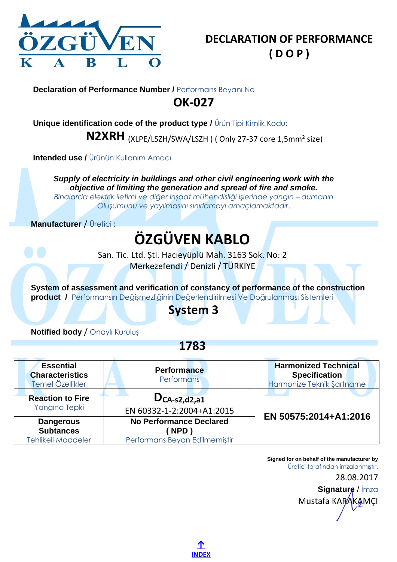

<span id="page-27-0"></span>**Unique identification code of the product type /** Ürün Tipi Kimlik Kodu:

**N2XRH** (XLPE/LSZH/SWA/LSZH ) ( Only 27-37 core 1,5mm² size)

**Intended use /** Ürünün Kullanım Amacı

*Supply of electricity in buildings and other civil engineering work with the objective of limiting the generation and spread of fire and smoke.*

*Binalarda elektrik iletimi ve diğer inşaat mühendisliği işlerinde yangın – dumanın Oluşumunu ve yayılmasını sınırlamayı amaçlamaktadır*.

**Manufacturer** / Üretici :

## **ÖZGÜVEN KABLO**

San. Tic. Ltd. Şti. Hacıeyüplü Mah. 3163 Sok. No: 2 Merkezefendi / Denizli / TÜRKİYE

**System of assessment and verification of constancy of performance of the construction product /** Performansın Değişmezliğinin Değerlendirilmesi Ve Doğrulanması Sistemleri

### **System 3**

**Notified body** / Onaylı Kuruluş

**1783**

| <b>Essential</b><br><b>Characteristics</b><br>Temel Özellikler | <b>Performance</b><br>Performans                                        | <b>Harmonized Technical</b><br><b>Specification</b><br>Harmonize Teknik Şartname |
|----------------------------------------------------------------|-------------------------------------------------------------------------|----------------------------------------------------------------------------------|
| <b>Reaction to Fire</b><br>Yangına Tepki                       | $D_{CA-S2, d2, a1}$<br>EN 60332-1-2:2004+A1:2015                        | EN 50575:2014+A1:2016                                                            |
| <b>Dangerous</b><br><b>Subtances</b><br>Tehlikeli Maddeler     | <b>No Performance Declared</b><br>NPD)<br>Performans Beyan Edilmemiştir |                                                                                  |

**[↑](#page-0-1) [INDEX](#page-0-1)** **Signed for on behalf of the manufacturer by** Üretici tarafından imzalanmıştır. 28.08.2017 **Signature** / İmza Mustafa KARAKAMCI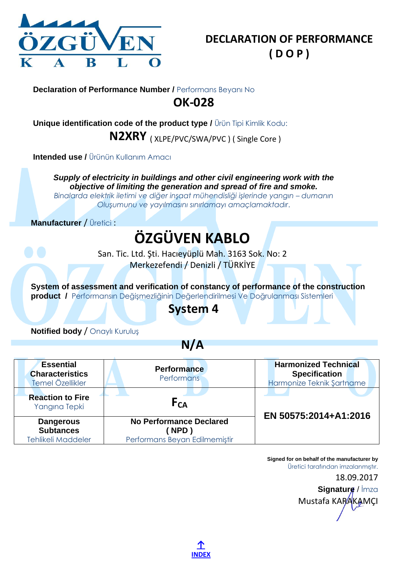

<span id="page-28-0"></span>**Unique identification code of the product type /** Ürün Tipi Kimlik Kodu:

**N2XRY** ( XLPE/PVC/SWA/PVC ) ( Single Core )

**Intended use / Ürünün Kullanım Amacı** 

*Supply of electricity in buildings and other civil engineering work with the objective of limiting the generation and spread of fire and smoke.*

*Binalarda elektrik iletimi ve diğer inşaat mühendisliği işlerinde yangın – dumanın Oluşumunu ve yayılmasını sınırlamayı amaçlamaktadır*.

**Manufacturer** / Üretici :

# **ÖZGÜVEN KABLO**

San. Tic. Ltd. Şti. Hacıeyüplü Mah. 3163 Sok. No: 2 Merkezefendi / Denizli / TÜRKİYE

**System of assessment and verification of constancy of performance of the construction product /** Performansın Değişmezliğinin Değerlendirilmesi Ve Doğrulanması Sistemleri

## **System 4**

**Notified body** / Onaylı Kuruluş

**N/A**

| <b>Essential</b><br><b>Characteristics</b><br>Temel Özellikler | <b>Performance</b><br><b>Performans</b>                                 | <b>Harmonized Technical</b><br><b>Specification</b><br>Harmonize Teknik Şartname |
|----------------------------------------------------------------|-------------------------------------------------------------------------|----------------------------------------------------------------------------------|
| <b>Reaction to Fire</b><br>Yangına Tepki                       | F <sub>CA</sub>                                                         | EN 50575:2014+A1:2016                                                            |
| <b>Dangerous</b><br><b>Subtances</b><br>Tehlikeli Maddeler     | <b>No Performance Declared</b><br>NPD)<br>Performans Beyan Edilmemiştir |                                                                                  |

**[↑](#page-0-1) [INDEX](#page-0-1)**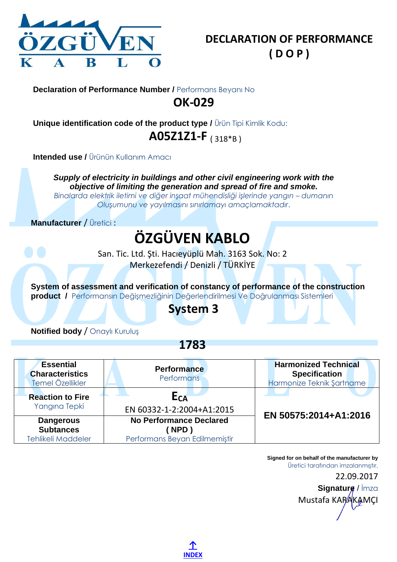

<span id="page-29-0"></span>**Unique identification code of the product type /** Ürün Tipi Kimlik Kodu: **A05Z1Z1-F** ( 318\*B )

**Intended use / Ürünün Kullanım Amacı** 

*Supply of electricity in buildings and other civil engineering work with the objective of limiting the generation and spread of fire and smoke.*

*Binalarda elektrik iletimi ve diğer inşaat mühendisliği işlerinde yangın – dumanın Oluşumunu ve yayılmasını sınırlamayı amaçlamaktadır*.

**Manufacturer** / Üretici :

## **ÖZGÜVEN KABLO**

San. Tic. Ltd. Şti. Hacıeyüplü Mah. 3163 Sok. No: 2 Merkezefendi / Denizli / TÜRKİYE

**System of assessment and verification of constancy of performance of the construction product /** Performansın Değişmezliğinin Değerlendirilmesi Ve Doğrulanması Sistemleri

### **System 3**

**Notified body** / Onaylı Kuruluş

**1783**

| <b>Essential</b><br><b>Characteristics</b><br>Temel Özellikler    | <b>Performance</b><br><b>Performans</b>                                 | <b>Harmonized Technical</b><br><b>Specification</b><br>Harmonize Teknik Şartname |
|-------------------------------------------------------------------|-------------------------------------------------------------------------|----------------------------------------------------------------------------------|
| <b>Reaction to Fire</b><br>Yangına Tepki                          | E <sub>CA</sub><br>EN 60332-1-2:2004+A1:2015                            | EN 50575:2014+A1:2016                                                            |
| <b>Dangerous</b><br><b>Subtances</b><br><b>Tehlikeli Maddeler</b> | <b>No Performance Declared</b><br>NPD)<br>Performans Beyan Edilmemiştir |                                                                                  |

**[↑](#page-0-1) [INDEX](#page-0-1)**

Mustafa KARAKAMCI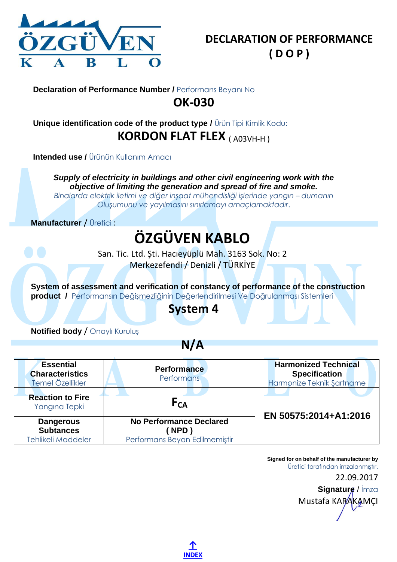

### <span id="page-30-0"></span>**Unique identification code of the product type /** Ürün Tipi Kimlik Kodu: **KORDON FLAT FLEX** (A03VH-H)

**Intended use / Ürünün Kullanım Amacı** 

*Supply of electricity in buildings and other civil engineering work with the objective of limiting the generation and spread of fire and smoke.*

*Binalarda elektrik iletimi ve diğer inşaat mühendisliği işlerinde yangın – dumanın Oluşumunu ve yayılmasını sınırlamayı amaçlamaktadır*.

**Manufacturer** / Üretici :

# **ÖZGÜVEN KABLO**

San. Tic. Ltd. Şti. Hacıeyüplü Mah. 3163 Sok. No: 2 Merkezefendi / Denizli / TÜRKİYE

**System of assessment and verification of constancy of performance of the construction product /** Performansın Değişmezliğinin Değerlendirilmesi Ve Doğrulanması Sistemleri

### **System 4**

**Notified body** / Onaylı Kuruluş

**N/A**

| <b>Essential</b><br><b>Characteristics</b><br>Temel Özellikler | <b>Performance</b><br><b>Performans</b>                                       | <b>Harmonized Technical</b><br><b>Specification</b><br>Harmonize Teknik Şartname |
|----------------------------------------------------------------|-------------------------------------------------------------------------------|----------------------------------------------------------------------------------|
| <b>Reaction to Fire</b><br>Yangına Tepki                       | F <sub>CA</sub>                                                               | EN 50575:2014+A1:2016                                                            |
| <b>Dangerous</b><br><b>Subtances</b><br>Tehlikeli Maddeler     | <b>No Performance Declared</b><br><b>NPD</b><br>Performans Beyan Edilmemiştir |                                                                                  |

**[↑](#page-0-1) [INDEX](#page-0-1)** **Signed for on behalf of the manufacturer by** Üretici tarafından imzalanmıştır. 22.09.2017 **Signature** / İmza Mustafa KARAKAMCI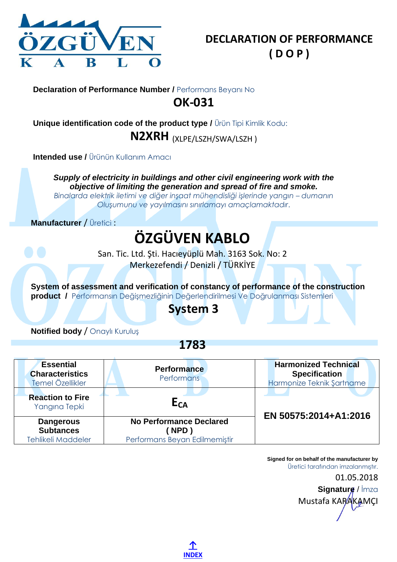

<span id="page-31-0"></span>**Unique identification code of the product type /** Ürün Tipi Kimlik Kodu: **N2XRH** (XLPE/LSZH/SWA/LSZH )

**Intended use /** Ürünün Kullanım Amacı

*Supply of electricity in buildings and other civil engineering work with the objective of limiting the generation and spread of fire and smoke.*

*Binalarda elektrik iletimi ve diğer inşaat mühendisliği işlerinde yangın – dumanın Oluşumunu ve yayılmasını sınırlamayı amaçlamaktadır*.

**Manufacturer** / Üretici :

# **ÖZGÜVEN KABLO**

San. Tic. Ltd. Şti. Hacıeyüplü Mah. 3163 Sok. No: 2 Merkezefendi / Denizli / TÜRKİYE

**System of assessment and verification of constancy of performance of the construction product /** Performansın Değişmezliğinin Değerlendirilmesi Ve Doğrulanması Sistemleri

## **System 3**

**Notified body** / Onaylı Kuruluş

**1783**

| <b>Essential</b><br><b>Characteristics</b><br>Temel Özellikler    | <b>Performance</b><br>Performans                                              | <b>Harmonized Technical</b><br><b>Specification</b><br>Harmonize Teknik Şartname |
|-------------------------------------------------------------------|-------------------------------------------------------------------------------|----------------------------------------------------------------------------------|
| <b>Reaction to Fire</b><br>Yangına Tepki                          | E <sub>CA</sub>                                                               | EN 50575:2014+A1:2016                                                            |
| <b>Dangerous</b><br><b>Subtances</b><br><b>Tehlikeli Maddeler</b> | <b>No Performance Declared</b><br><b>NPD</b><br>Performans Beyan Edilmemistir |                                                                                  |

**[↑](#page-0-1) [INDEX](#page-0-1)** **Signed for on behalf of the manufacturer by** Üretici tarafından imzalanmıştır. 01.05.2018 **Signature** / İmza Mustafa KARAKAMCI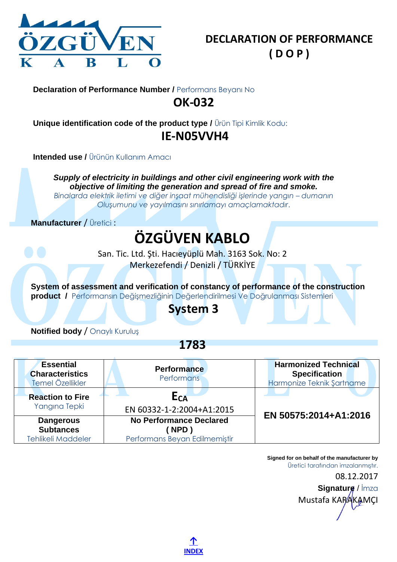

<span id="page-32-0"></span>**Unique identification code of the product type /** Ürün Tipi Kimlik Kodu: **IE-N05VVH4**

**Intended use / Ürünün Kullanım Amacı** 

*Supply of electricity in buildings and other civil engineering work with the objective of limiting the generation and spread of fire and smoke.*

*Binalarda elektrik iletimi ve diğer inşaat mühendisliği işlerinde yangın – dumanın Oluşumunu ve yayılmasını sınırlamayı amaçlamaktadır*.

**Manufacturer** / Üretici :

## **ÖZGÜVEN KABLO**

San. Tic. Ltd. Şti. Hacıeyüplü Mah. 3163 Sok. No: 2 Merkezefendi / Denizli / TÜRKİYE

**System of assessment and verification of constancy of performance of the construction product /** Performansın Değişmezliğinin Değerlendirilmesi Ve Doğrulanması Sistemleri

### **System 3**

**Notified body** / Onaylı Kuruluş

**1783**

| <b>Essential</b><br><b>Characteristics</b><br>Temel Özellikler    | <b>Performance</b><br><b>Performans</b>                                       | <b>Harmonized Technical</b><br><b>Specification</b><br>Harmonize Teknik Şartname |
|-------------------------------------------------------------------|-------------------------------------------------------------------------------|----------------------------------------------------------------------------------|
| <b>Reaction to Fire</b><br>Yangına Tepki                          | E <sub>CA</sub><br>EN 60332-1-2:2004+A1:2015                                  |                                                                                  |
| <b>Dangerous</b><br><b>Subtances</b><br><b>Tehlikeli Maddeler</b> | <b>No Performance Declared</b><br><b>NPD</b><br>Performans Beyan Edilmemiştir | EN 50575:2014+A1:2016                                                            |

**[↑](#page-0-1) [INDEX](#page-0-1)** **Signed for on behalf of the manufacturer by** Üretici tarafından imzalanmıştır. 08.12.2017

**Signature** / İmza Mustafa KARAKAMCI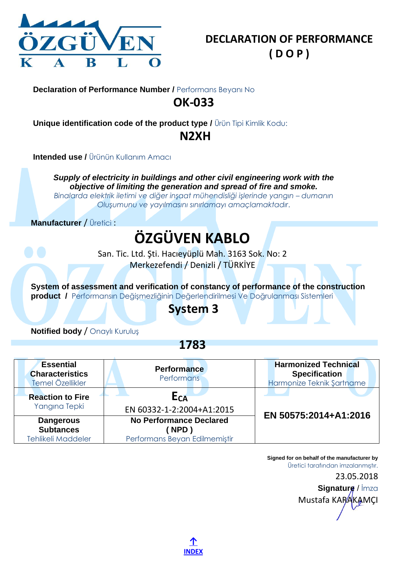

<span id="page-33-0"></span>**Unique identification code of the product type /** Ürün Tipi Kimlik Kodu:

### **N2XH**

**Intended use / Ürünün Kullanım Amacı** 

*Supply of electricity in buildings and other civil engineering work with the objective of limiting the generation and spread of fire and smoke.*

*Binalarda elektrik iletimi ve diğer inşaat mühendisliği işlerinde yangın – dumanın Oluşumunu ve yayılmasını sınırlamayı amaçlamaktadır*.

**Manufacturer** / Üretici :

# **ÖZGÜVEN KABLO**

San. Tic. Ltd. Şti. Hacıeyüplü Mah. 3163 Sok. No: 2 Merkezefendi / Denizli / TÜRKİYE

**System of assessment and verification of constancy of performance of the construction product /** Performansın Değişmezliğinin Değerlendirilmesi Ve Doğrulanması Sistemleri

## **System 3**

**Notified body** / Onaylı Kuruluş

**1783**

| <b>Essential</b><br><b>Characteristics</b><br>Temel Özellikler    | <b>Performance</b><br><b>Performans</b>                                | <b>Harmonized Technical</b><br><b>Specification</b><br>Harmonize Teknik Şartname |
|-------------------------------------------------------------------|------------------------------------------------------------------------|----------------------------------------------------------------------------------|
| <b>Reaction to Fire</b><br>Yangına Tepki                          | E <sub>CA</sub><br>EN 60332-1-2:2004+A1:2015                           | EN 50575:2014+A1:2016                                                            |
| <b>Dangerous</b><br><b>Subtances</b><br><b>Tehlikeli Maddeler</b> | <b>No Performance Declared</b><br>NPD<br>Performans Beyan Edilmemiştir |                                                                                  |

**[↑](#page-0-1) [INDEX](#page-0-1)**

Mustafa KARAKAMCI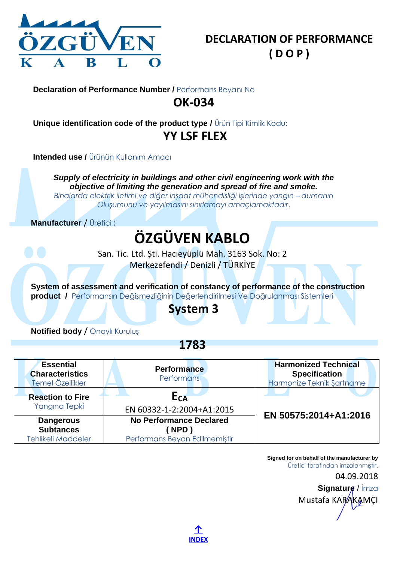

**Unique identification code of the product type /** Ürün Tipi Kimlik Kodu: **YY LSF FLEX**

**Intended use /** Ürünün Kullanım Amacı

*Supply of electricity in buildings and other civil engineering work with the objective of limiting the generation and spread of fire and smoke.*

*Binalarda elektrik iletimi ve diğer inşaat mühendisliği işlerinde yangın – dumanın Oluşumunu ve yayılmasını sınırlamayı amaçlamaktadır*.

**Manufacturer** / Üretici :

## **ÖZGÜVEN KABLO**

San. Tic. Ltd. Şti. Hacıeyüplü Mah. 3163 Sok. No: 2 Merkezefendi / Denizli / TÜRKİYE

**System of assessment and verification of constancy of performance of the construction product /** Performansın Değişmezliğinin Değerlendirilmesi Ve Doğrulanması Sistemleri

## **System 3**

**Notified body** / Onaylı Kuruluş

**1783**

| <b>Essential</b><br><b>Characteristics</b><br>Temel Özellikler    | <b>Performance</b><br><b>Performans</b>                                       | <b>Harmonized Technical</b><br><b>Specification</b><br>Harmonize Teknik Şartname |
|-------------------------------------------------------------------|-------------------------------------------------------------------------------|----------------------------------------------------------------------------------|
| <b>Reaction to Fire</b><br>Yangına Tepki                          | E <sub>CA</sub><br>EN 60332-1-2:2004+A1:2015                                  |                                                                                  |
| <b>Dangerous</b><br><b>Subtances</b><br><b>Tehlikeli Maddeler</b> | <b>No Performance Declared</b><br><b>NPD</b><br>Performans Beyan Edilmemiştir | EN 50575:2014+A1:2016                                                            |

**[↑](#page-0-1) [INDEX](#page-0-1)**

Mustafa KARAKAMCI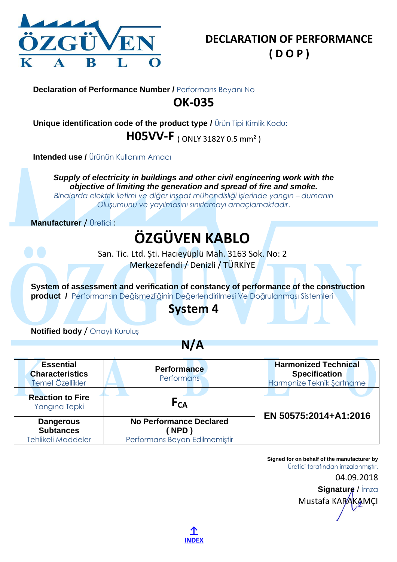

**Unique identification code of the product type /** Ürün Tipi Kimlik Kodu: **H05VV-F** ( ONLY 3182Y 0.5 mm² )

**Intended use / Ürünün Kullanım Amacı** 

*Supply of electricity in buildings and other civil engineering work with the objective of limiting the generation and spread of fire and smoke.*

*Binalarda elektrik iletimi ve diğer inşaat mühendisliği işlerinde yangın – dumanın Oluşumunu ve yayılmasını sınırlamayı amaçlamaktadır*.

**Manufacturer** / Üretici :

# **ÖZGÜVEN KABLO**

San. Tic. Ltd. Şti. Hacıeyüplü Mah. 3163 Sok. No: 2 Merkezefendi / Denizli / TÜRKİYE

**System of assessment and verification of constancy of performance of the construction product /** Performansın Değişmezliğinin Değerlendirilmesi Ve Doğrulanması Sistemleri

### **System 4**

**Notified body** / Onaylı Kuruluş

**N/A**

| <b>Essential</b><br><b>Characteristics</b><br>Temel Özellikler | <b>Performance</b><br><b>Performans</b>                                       | <b>Harmonized Technical</b><br><b>Specification</b><br>Harmonize Teknik Şartname |
|----------------------------------------------------------------|-------------------------------------------------------------------------------|----------------------------------------------------------------------------------|
| <b>Reaction to Fire</b><br>Yangına Tepki                       | F <sub>CA</sub>                                                               | EN 50575:2014+A1:2016                                                            |
| <b>Dangerous</b><br><b>Subtances</b><br>Tehlikeli Maddeler     | <b>No Performance Declared</b><br><b>NPD</b><br>Performans Beyan Edilmemiştir |                                                                                  |

**Signed for on behalf of the manufacturer by** Üretici tarafından imzalanmıştır. 04.09.2018 **Signature** / İmza Mustafa KARAKAMCI

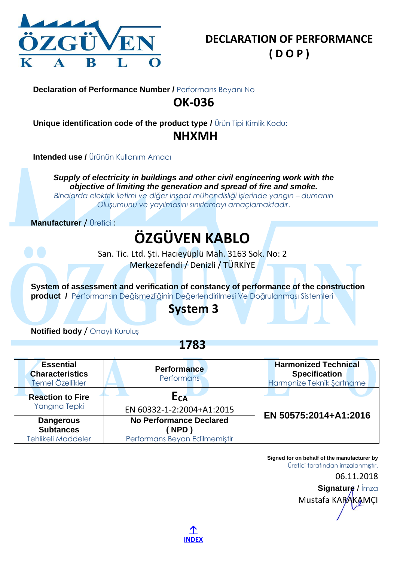

**Unique identification code of the product type /** Ürün Tipi Kimlik Kodu: **NHXMH**

**Intended use / Ürünün Kullanım Amacı** 

*Supply of electricity in buildings and other civil engineering work with the objective of limiting the generation and spread of fire and smoke.*

*Binalarda elektrik iletimi ve diğer inşaat mühendisliği işlerinde yangın – dumanın Oluşumunu ve yayılmasını sınırlamayı amaçlamaktadır*.

**Manufacturer** / Üretici :

## **ÖZGÜVEN KABLO**

San. Tic. Ltd. Şti. Hacıeyüplü Mah. 3163 Sok. No: 2 Merkezefendi / Denizli / TÜRKİYE

**System of assessment and verification of constancy of performance of the construction product /** Performansın Değişmezliğinin Değerlendirilmesi Ve Doğrulanması Sistemleri

### **System 3**

**Notified body** / Onaylı Kuruluş

**1783**

| <b>Essential</b><br><b>Characteristics</b><br>Temel Özellikler    | <b>Performance</b><br><b>Performans</b>                                       | <b>Harmonized Technical</b><br><b>Specification</b><br>Harmonize Teknik Şartname |
|-------------------------------------------------------------------|-------------------------------------------------------------------------------|----------------------------------------------------------------------------------|
| <b>Reaction to Fire</b><br>Yangına Tepki                          | E <sub>CA</sub><br>EN 60332-1-2:2004+A1:2015                                  | EN 50575:2014+A1:2016                                                            |
| <b>Dangerous</b><br><b>Subtances</b><br><b>Tehlikeli Maddeler</b> | <b>No Performance Declared</b><br><b>NPD</b><br>Performans Beyan Edilmemiştir |                                                                                  |

**Signed for on behalf of the manufacturer by** Üretici tarafından imzalanmıştır.

06.11.2018

**Signature** / İmza Mustafa KARAKAMCI

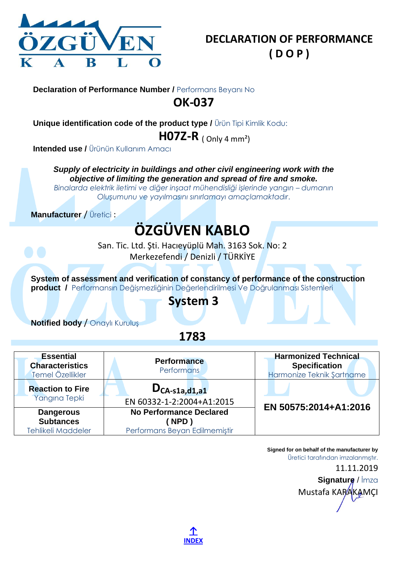

**Unique identification code of the product type /** Ürün Tipi Kimlik Kodu:

**H07Z-R** ( Only 4 mm²)

**Intended use /** Ürünün Kullanım Amacı

*Supply of electricity in buildings and other civil engineering work with the objective of limiting the generation and spread of fire and smoke.*

*Binalarda elektrik iletimi ve diğer inşaat mühendisliği işlerinde yangın – dumanın Oluşumunu ve yayılmasını sınırlamayı amaçlamaktadır*.

**Manufacturer** / Üretici :

# **ÖZGÜVEN KABLO**

San. Tic. Ltd. Şti. Hacıeyüplü Mah. 3163 Sok. No: 2 Merkezefendi / Denizli / TÜRKİYE

**System of assessment and verification of constancy of performance of the construction product /** Performansın Değişmezliğinin Değerlendirilmesi Ve Doğrulanması Sistemleri

### **System 3**

**Notified body** / Onaylı Kuruluş

**1783**

| <b>Essential</b><br><b>Characteristics</b><br>Temel Özellikler | <b>Performance</b><br>Performans                                        | <b>Harmonized Technical</b><br><b>Specification</b><br>Harmonize Teknik Şartname |
|----------------------------------------------------------------|-------------------------------------------------------------------------|----------------------------------------------------------------------------------|
| <b>Reaction to Fire</b><br>Yangına Tepki                       | $D_{CA-S1a,d1,a1}$<br>EN 60332-1-2:2004+A1:2015                         |                                                                                  |
| <b>Dangerous</b><br><b>Subtances</b><br>Tehlikeli Maddeler     | <b>No Performance Declared</b><br>NPD)<br>Performans Beyan Edilmemiştir | EN 50575:2014+A1:2016                                                            |

**Signed for on behalf of the manufacturer by** Üretici tarafından imzalanmıştır.

11.11.2019 **Signature** / İmza Mustafa KARAKAMCI

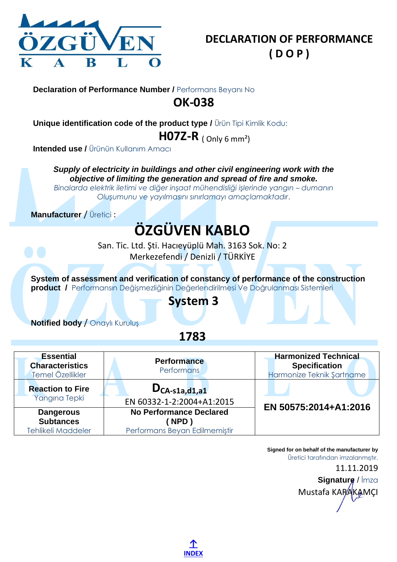

**Unique identification code of the product type /** Ürün Tipi Kimlik Kodu:

**H07Z-R** ( Only 6 mm²)

**Intended use /** Ürünün Kullanım Amacı

*Supply of electricity in buildings and other civil engineering work with the objective of limiting the generation and spread of fire and smoke.*

*Binalarda elektrik iletimi ve diğer inşaat mühendisliği işlerinde yangın – dumanın Oluşumunu ve yayılmasını sınırlamayı amaçlamaktadır*.

**Manufacturer** / Üretici :

# **ÖZGÜVEN KABLO**

San. Tic. Ltd. Şti. Hacıeyüplü Mah. 3163 Sok. No: 2 Merkezefendi / Denizli / TÜRKİYE

**System of assessment and verification of constancy of performance of the construction product /** Performansın Değişmezliğinin Değerlendirilmesi Ve Doğrulanması Sistemleri

### **System 3**

**Notified body** / Onaylı Kuruluş

**1783**

| <b>Essential</b><br><b>Characteristics</b><br>Temel Özellikler    | <b>Performance</b><br>Performans                                        | <b>Harmonized Technical</b><br><b>Specification</b><br>Harmonize Teknik Şartname |
|-------------------------------------------------------------------|-------------------------------------------------------------------------|----------------------------------------------------------------------------------|
| <b>Reaction to Fire</b><br>Yangına Tepki                          | $D_{CA-S1a,d1,a1}$<br>EN 60332-1-2:2004+A1:2015                         | EN 50575:2014+A1:2016                                                            |
| <b>Dangerous</b><br><b>Subtances</b><br><b>Tehlikeli Maddeler</b> | <b>No Performance Declared</b><br>NPD)<br>Performans Beyan Edilmemiştir |                                                                                  |

**[↑](#page-0-1) [INDEX](#page-0-1)** **Signed for on behalf of the manufacturer by** Üretici tarafından imzalanmıştır.

11.11.2019 **Signature** / İmza Mustafa KARAKAMCI